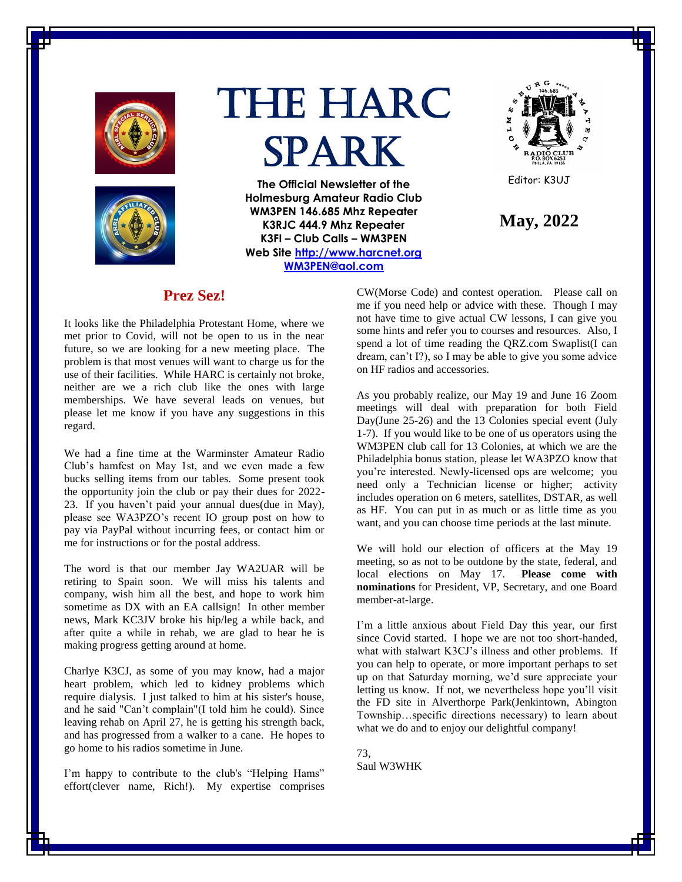



# The HARC Spark

**The Official Newsletter of the Holmesburg Amateur Radio Club WM3PEN 146.685 Mhz Repeater K3RJC 444.9 Mhz Repeater K3FI – Club Calls – WM3PEN Web Site [http://www.harcnet.org](http://www.harcnet.org/) [WM3PEN@aol.com](mailto:WM3PEN@aol.com)**



Editor: K3UJ

**May, 2022**

# **Prez Sez!**

It looks like the Philadelphia Protestant Home, where we met prior to Covid, will not be open to us in the near future, so we are looking for a new meeting place. The problem is that most venues will want to charge us for the use of their facilities. While HARC is certainly not broke, neither are we a rich club like the ones with large memberships. We have several leads on venues, but please let me know if you have any suggestions in this regard.

We had a fine time at the Warminster Amateur Radio Club's hamfest on May 1st, and we even made a few bucks selling items from our tables. Some present took the opportunity join the club or pay their dues for 2022- 23. If you haven't paid your annual dues(due in May), please see WA3PZO's recent IO group post on how to pay via PayPal without incurring fees, or contact him or me for instructions or for the postal address.

The word is that our member Jay WA2UAR will be retiring to Spain soon. We will miss his talents and company, wish him all the best, and hope to work him sometime as DX with an EA callsign! In other member news, Mark KC3JV broke his hip/leg a while back, and after quite a while in rehab, we are glad to hear he is making progress getting around at home.

Charlye K3CJ, as some of you may know, had a major heart problem, which led to kidney problems which require dialysis. I just talked to him at his sister's house, and he said "Can't complain"(I told him he could). Since leaving rehab on April 27, he is getting his strength back, and has progressed from a walker to a cane. He hopes to go home to his radios sometime in June.

I'm happy to contribute to the club's "Helping Hams" effort(clever name, Rich!). My expertise comprises CW(Morse Code) and contest operation. Please call on me if you need help or advice with these. Though I may not have time to give actual CW lessons, I can give you some hints and refer you to courses and resources. Also, I spend a lot of time reading the QRZ.com Swaplist(I can dream, can't I?), so I may be able to give you some advice on HF radios and accessories.

As you probably realize, our May 19 and June 16 Zoom meetings will deal with preparation for both Field Day(June 25-26) and the 13 Colonies special event (July 1-7). If you would like to be one of us operators using the WM3PEN club call for 13 Colonies, at which we are the Philadelphia bonus station, please let WA3PZO know that you're interested. Newly-licensed ops are welcome; you need only a Technician license or higher; activity includes operation on 6 meters, satellites, DSTAR, as well as HF. You can put in as much or as little time as you want, and you can choose time periods at the last minute.

We will hold our election of officers at the May 19 meeting, so as not to be outdone by the state, federal, and local elections on May 17. **Please come with nominations** for President, VP, Secretary, and one Board member-at-large.

I'm a little anxious about Field Day this year, our first since Covid started. I hope we are not too short-handed, what with stalwart K3CJ's illness and other problems. If you can help to operate, or more important perhaps to set up on that Saturday morning, we'd sure appreciate your letting us know. If not, we nevertheless hope you'll visit the FD site in Alverthorpe Park(Jenkintown, Abington Township…specific directions necessary) to learn about what we do and to enjoy our delightful company!

73, Saul W3WHK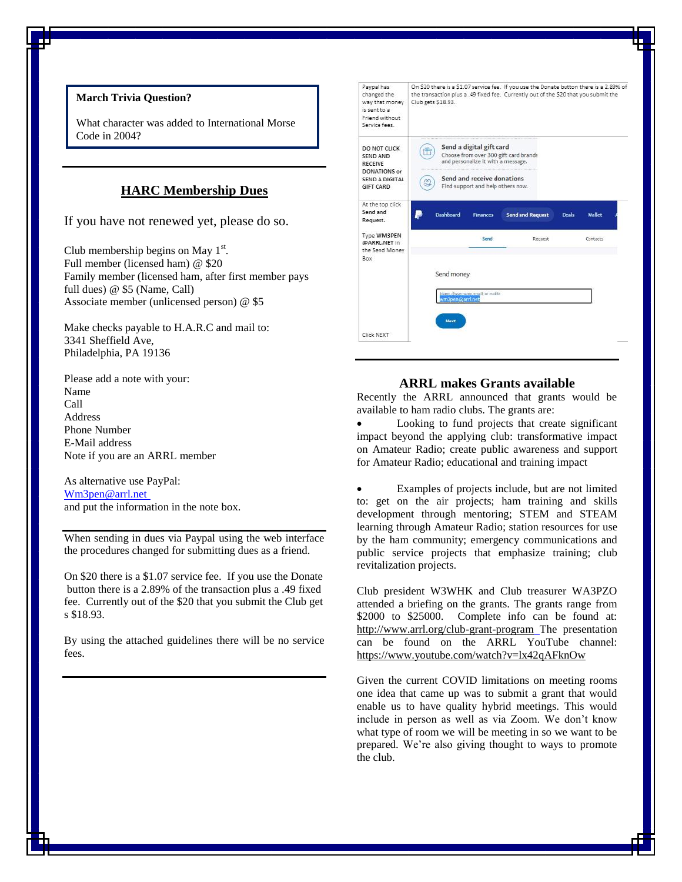# **March Trivia Question?**

What character was added to International Morse Code in 2004?

## **HARC Membership Dues**

If you have not renewed yet, please do so.

Club membership begins on May  $1<sup>st</sup>$ . Full member (licensed ham) @ \$20 Family member (licensed ham, after first member pays full dues) @ \$5 (Name, Call) Associate member (unlicensed person) @ \$5

Make checks payable to H.A.R.C and mail to: 3341 Sheffield Ave, Philadelphia, PA 19136

Please add a note with your: Name Call Address Phone Number E-Mail address Note if you are an ARRL member

As alternative use PayPal: [Wm3pen@arrl.net](mailto:Wm3pen@arrl.net) and put the information in the note box.

When sending in dues via Paypal using the web interface the procedures changed for submitting dues as a friend.

On \$20 there is a \$1.07 service fee. If you use the Donate button there is a 2.89% of the transaction plus a .49 fixed fee. Currently out of the \$20 that you submit the Club get s \$18.93.

By using the attached guidelines there will be no service fees.

| Paypal has<br>changed the<br>way that money<br>is sent to a<br>Friend without<br>Service fees    | On \$20 there is a \$1.07 service fee. If you use the Donate button there is a 2.89% of<br>the transaction plus a .49 fixed fee. Currently out of the \$20 that you submit the<br>Club gets \$18.93. |            |                                                                                                                                   |                                       |              |          |
|--------------------------------------------------------------------------------------------------|------------------------------------------------------------------------------------------------------------------------------------------------------------------------------------------------------|------------|-----------------------------------------------------------------------------------------------------------------------------------|---------------------------------------|--------------|----------|
| DO NOT CLICK<br>SEND AND<br><b>RECEIVE</b><br>DONATIONS or<br><b>SEND A DIGITAL</b><br>GIFT CARD | g                                                                                                                                                                                                    |            | Send a digital gift card<br>and personalize it with a message.<br>Send and receive donations<br>Find support and help others now. | Choose from over 300 gift card brands |              |          |
| At the top click<br>Send and<br>Request.                                                         |                                                                                                                                                                                                      | Dashboard  | <b>Finances</b>                                                                                                                   | <b>Send and Request</b>               | <b>Deals</b> | Wallet   |
| Type WM3PEN<br>@ARRL.NET in                                                                      |                                                                                                                                                                                                      |            | Send                                                                                                                              | Request                               |              | Contacts |
| the Send Money<br>Box                                                                            |                                                                                                                                                                                                      |            |                                                                                                                                   |                                       |              |          |
|                                                                                                  |                                                                                                                                                                                                      | Send money | Name, diusemante, email, or mobile                                                                                                |                                       |              |          |

## **ARRL makes Grants available**

Recently the ARRL announced that grants would be available to ham radio clubs. The grants are:

 Looking to fund projects that create significant impact beyond the applying club: transformative impact on Amateur Radio; create public awareness and support for Amateur Radio; educational and training impact

 Examples of projects include, but are not limited to: get on the air projects; ham training and skills development through mentoring; STEM and STEAM learning through Amateur Radio; station resources for use by the ham community; emergency communications and public service projects that emphasize training; club revitalization projects.

Club president W3WHK and Club treasurer WA3PZO attended a briefing on the grants. The grants range from \$2000 to \$25000. Complete info can be found at: <http://www.arrl.org/club-grant-program> The presentation can be found on the ARRL YouTube channel: <https://www.youtube.com/watch?v=lx42qAFknOw>

Given the current COVID limitations on meeting rooms one idea that came up was to submit a grant that would enable us to have quality hybrid meetings. This would include in person as well as via Zoom. We don't know what type of room we will be meeting in so we want to be prepared. We're also giving thought to ways to promote the club.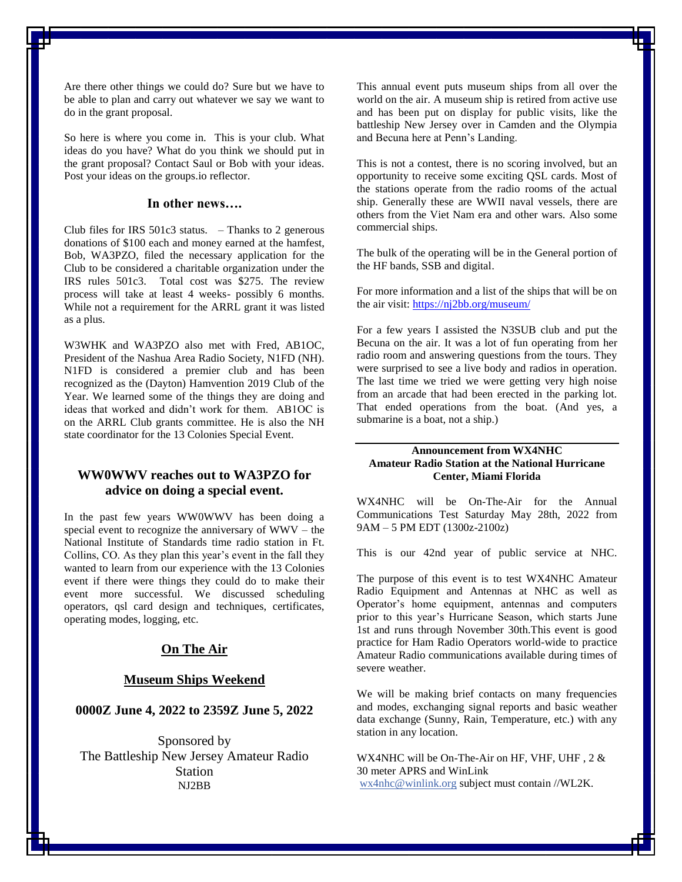Are there other things we could do? Sure but we have to be able to plan and carry out whatever we say we want to do in the grant proposal.

So here is where you come in. This is your club. What ideas do you have? What do you think we should put in the grant proposal? Contact Saul or Bob with your ideas. Post your ideas on the groups.io reflector.

## **In other news….**

Club files for IRS  $501c3$  status. – Thanks to 2 generous donations of \$100 each and money earned at the hamfest, Bob, WA3PZO, filed the necessary application for the Club to be considered a charitable organization under the IRS rules 501c3. Total cost was \$275. The review process will take at least 4 weeks- possibly 6 months. While not a requirement for the ARRL grant it was listed as a plus.

W3WHK and WA3PZO also met with Fred, AB1OC, President of the Nashua Area Radio Society, N1FD (NH). N1FD is considered a premier club and has been recognized as the (Dayton) Hamvention 2019 Club of the Year. We learned some of the things they are doing and ideas that worked and didn't work for them. AB1OC is on the ARRL Club grants committee. He is also the NH state coordinator for the 13 Colonies Special Event.

## **WW0WWV reaches out to WA3PZO for advice on doing a special event.**

In the past few years WW0WWV has been doing a special event to recognize the anniversary of WWV – the National Institute of Standards time radio station in Ft. Collins, CO. As they plan this year's event in the fall they wanted to learn from our experience with the 13 Colonies event if there were things they could do to make their event more successful. We discussed scheduling operators, qsl card design and techniques, certificates, operating modes, logging, etc.

## **On The Air**

#### **Museum Ships Weekend**

## **0000Z June 4, 2022 to 2359Z June 5, 2022**

Sponsored by The Battleship New Jersey Amateur Radio Station NJ2BB

This annual event puts museum ships from all over the world on the air. A museum ship is retired from active use and has been put on display for public visits, like the battleship New Jersey over in Camden and the Olympia and Becuna here at Penn's Landing.

This is not a contest, there is no scoring involved, but an opportunity to receive some exciting QSL cards. Most of the stations operate from the radio rooms of the actual ship. Generally these are WWII naval vessels, there are others from the Viet Nam era and other wars. Also some commercial ships.

The bulk of the operating will be in the General portion of the HF bands, SSB and digital.

For more information and a list of the ships that will be on the air visit[: https://nj2bb.org/museum/](https://nj2bb.org/museum/)

For a few years I assisted the N3SUB club and put the Becuna on the air. It was a lot of fun operating from her radio room and answering questions from the tours. They were surprised to see a live body and radios in operation. The last time we tried we were getting very high noise from an arcade that had been erected in the parking lot. That ended operations from the boat. (And yes, a submarine is a boat, not a ship.)

#### **Announcement from WX4NHC Amateur Radio Station at the National Hurricane Center, Miami Florida**

WX4NHC will be On-The-Air for the Annual Communications Test Saturday May 28th, 2022 from 9AM – 5 PM EDT (1300z-2100z)

This is our 42nd year of public service at NHC.

The purpose of this event is to test WX4NHC Amateur Radio Equipment and Antennas at NHC as well as Operator's home equipment, antennas and computers prior to this year's Hurricane Season, which starts June 1st and runs through November 30th.This event is good practice for Ham Radio Operators world-wide to practice Amateur Radio communications available during times of severe weather.

We will be making brief contacts on many frequencies and modes, exchanging signal reports and basic weather data exchange (Sunny, Rain, Temperature, etc.) with any station in any location.

WX4NHC will be On-The-Air on HF, VHF, UHF , 2 & 30 meter APRS and WinLink [wx4nhc@winlink.org](mailto:wx4nhc@winlink.org) subject must contain //WL2K.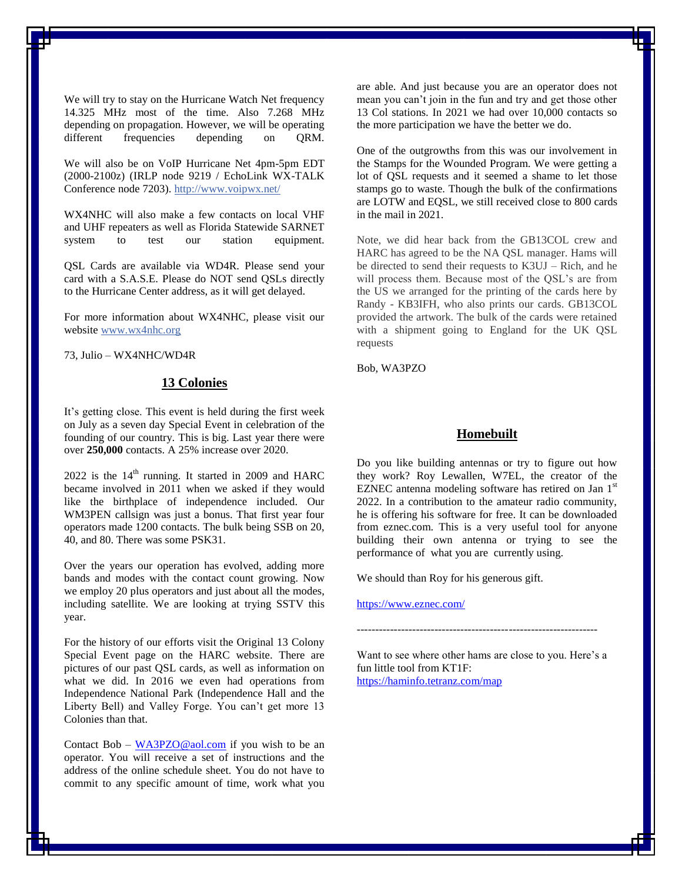We will try to stay on the Hurricane Watch Net frequency 14.325 MHz most of the time. Also 7.268 MHz depending on propagation. However, we will be operating different frequencies depending on QRM.

We will also be on VoIP Hurricane Net 4pm-5pm EDT (2000-2100z) (IRLP node 9219 / EchoLink WX-TALK Conference node 7203). <http://www.voipwx.net/>

WX4NHC will also make a few contacts on local VHF and UHF repeaters as well as Florida Statewide SARNET system to test our station equipment.

QSL Cards are available via WD4R. Please send your card with a S.A.S.E. Please do NOT send QSLs directly to the Hurricane Center address, as it will get delayed.

For more information about WX4NHC, please visit our website [www.wx4nhc.org](http://www.wx4nhc.org/)

73, Julio – WX4NHC/WD4R

## **13 Colonies**

It's getting close. This event is held during the first week on July as a seven day Special Event in celebration of the founding of our country. This is big. Last year there were over **250,000** contacts. A 25% increase over 2020.

 $2022$  is the  $14<sup>th</sup>$  running. It started in 2009 and HARC became involved in 2011 when we asked if they would like the birthplace of independence included. Our WM3PEN callsign was just a bonus. That first year four operators made 1200 contacts. The bulk being SSB on 20, 40, and 80. There was some PSK31.

Over the years our operation has evolved, adding more bands and modes with the contact count growing. Now we employ 20 plus operators and just about all the modes, including satellite. We are looking at trying SSTV this year.

For the history of our efforts visit the Original 13 Colony Special Event page on the HARC website. There are pictures of our past QSL cards, as well as information on what we did. In 2016 we even had operations from Independence National Park (Independence Hall and the Liberty Bell) and Valley Forge. You can't get more 13 Colonies than that.

Contact Bob –  $W$ A3PZO@aol.com if you wish to be an operator. You will receive a set of instructions and the address of the online schedule sheet. You do not have to commit to any specific amount of time, work what you are able. And just because you are an operator does not mean you can't join in the fun and try and get those other 13 Col stations. In 2021 we had over 10,000 contacts so the more participation we have the better we do.

One of the outgrowths from this was our involvement in the Stamps for the Wounded Program. We were getting a lot of QSL requests and it seemed a shame to let those stamps go to waste. Though the bulk of the confirmations are LOTW and EQSL, we still received close to 800 cards in the mail in 2021.

Note, we did hear back from the GB13COL crew and HARC has agreed to be the NA QSL manager. Hams will be directed to send their requests to K3UJ – Rich, and he will process them. Because most of the QSL's are from the US we arranged for the printing of the cards here by Randy - KB3IFH, who also prints our cards. GB13COL provided the artwork. The bulk of the cards were retained with a shipment going to England for the UK QSL requests

Bob, WA3PZO

## **Homebuilt**

Do you like building antennas or try to figure out how they work? Roy Lewallen, W7EL, the creator of the EZNEC antenna modeling software has retired on Jan  $1<sup>st</sup>$ 2022. In a contribution to the amateur radio community, he is offering his software for free. It can be downloaded from eznec.com. This is a very useful tool for anyone building their own antenna or trying to see the performance of what you are currently using.

We should than Roy for his generous gift.

<https://www.eznec.com/>

-----------------------------------------------------------------

Want to see where other hams are close to you. Here's a fun little tool from KT1F: <https://haminfo.tetranz.com/map>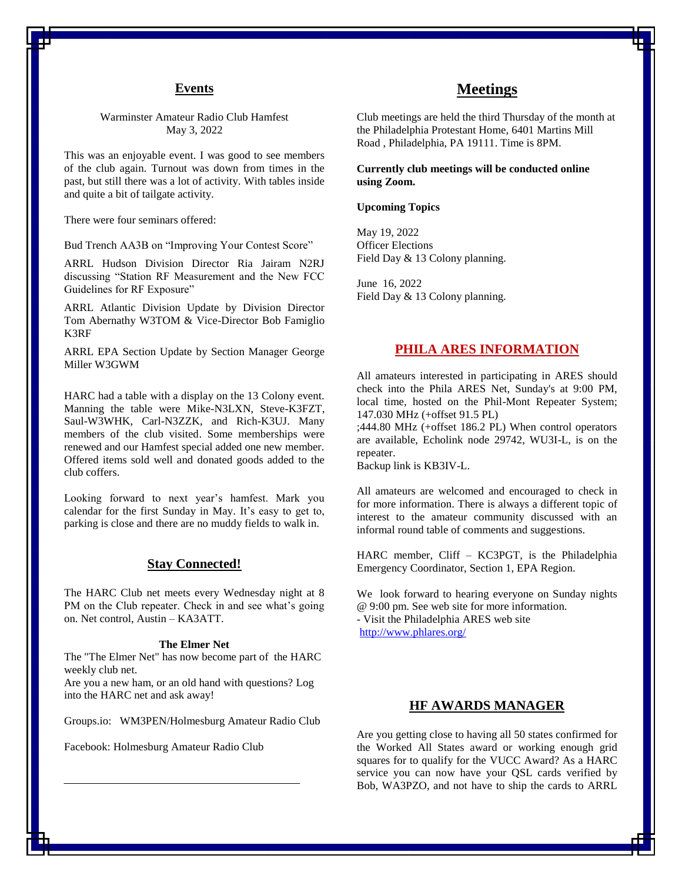#### **Events**

Warminster Amateur Radio Club Hamfest May 3, 2022

This was an enjoyable event. I was good to see members of the club again. Turnout was down from times in the past, but still there was a lot of activity. With tables inside and quite a bit of tailgate activity.

There were four seminars offered:

Bud Trench AA3B on "Improving Your Contest Score"

ARRL Hudson Division Director Ria Jairam N2RJ discussing "Station RF Measurement and the New FCC Guidelines for RF Exposure"

ARRL Atlantic Division Update by Division Director Tom Abernathy W3TOM & Vice-Director Bob Famiglio K3RF

ARRL EPA Section Update by Section Manager George Miller W3GWM

HARC had a table with a display on the 13 Colony event. Manning the table were Mike-N3LXN, Steve-K3FZT, Saul-W3WHK, Carl-N3ZZK, and Rich-K3UJ. Many members of the club visited. Some memberships were renewed and our Hamfest special added one new member. Offered items sold well and donated goods added to the club coffers.

Looking forward to next year's hamfest. Mark you calendar for the first Sunday in May. It's easy to get to, parking is close and there are no muddy fields to walk in.

## **Stay Connected!**

The HARC Club net meets every Wednesday night at 8 PM on the Club repeater. Check in and see what's going on. Net control, Austin – KA3ATT.

#### **The Elmer Net**

The "The Elmer Net" has now become part of the HARC weekly club net.

Are you a new ham, or an old hand with questions? Log into the HARC net and ask away!

Groups.io: WM3PEN/Holmesburg Amateur Radio Club

Facebook: Holmesburg Amateur Radio Club

# **Meetings**

Club meetings are held the third Thursday of the month at the Philadelphia Protestant Home, 6401 Martins Mill Road , Philadelphia, PA 19111. Time is 8PM.

**Currently club meetings will be conducted online using Zoom.**

#### **Upcoming Topics**

May 19, 2022 Officer Elections Field Day & 13 Colony planning.

June 16, 2022 Field Day & 13 Colony planning.

#### **PHILA ARES INFORMATION**

All amateurs interested in participating in ARES should check into the Phila ARES Net, Sunday's at 9:00 PM, local time, hosted on the Phil-Mont Repeater System; 147.030 MHz (+offset 91.5 PL)

;444.80 MHz (+offset 186.2 PL) When control operators are available, Echolink node 29742, WU3I-L, is on the repeater.

Backup link is KB3IV-L.

All amateurs are welcomed and encouraged to check in for more information. There is always a different topic of interest to the amateur community discussed with an informal round table of comments and suggestions.

HARC member, Cliff – KC3PGT, is the Philadelphia Emergency Coordinator, Section 1, EPA Region.

We look forward to hearing everyone on Sunday nights @ 9:00 pm. See web site for more information. - Visit the Philadelphia ARES web site <http://www.phlares.org/>

## **HF AWARDS MANAGER**

Are you getting close to having all 50 states confirmed for the Worked All States award or working enough grid squares for to qualify for the VUCC Award? As a HARC service you can now have your QSL cards verified by Bob, WA3PZO, and not have to ship the cards to ARRL